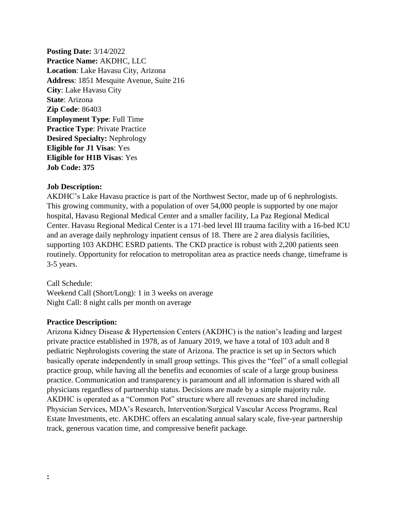**Posting Date:** 3/14/2022 **Practice Name:** AKDHC, LLC **Location**: Lake Havasu City, Arizona **Address**: 1851 Mesquite Avenue, Suite 216 **City**: Lake Havasu City **State**: Arizona **Zip Code**: 86403 **Employment Type**: Full Time **Practice Type: Private Practice Desired Specialty:** Nephrology **Eligible for J1 Visas**: Yes **Eligible for H1B Visas**: Yes **Job Code: 375**

## **Job Description:**

AKDHC's Lake Havasu practice is part of the Northwest Sector, made up of 6 nephrologists. This growing community, with a population of over 54,000 people is supported by one major hospital, Havasu Regional Medical Center and a smaller facility, La Paz Regional Medical Center. Havasu Regional Medical Center is a 171-bed level III trauma facility with a 16-bed ICU and an average daily nephrology inpatient census of 18. There are 2 area dialysis facilities, supporting 103 AKDHC ESRD patients. The CKD practice is robust with 2,200 patients seen routinely. Opportunity for relocation to metropolitan area as practice needs change, timeframe is 3-5 years.

Call Schedule: Weekend Call (Short/Long): 1 in 3 weeks on average Night Call: 8 night calls per month on average

## **Practice Description:**

Arizona Kidney Disease & Hypertension Centers (AKDHC) is the nation's leading and largest private practice established in 1978, as of January 2019, we have a total of 103 adult and 8 pediatric Nephrologists covering the state of Arizona. The practice is set up in Sectors which basically operate independently in small group settings. This gives the "feel" of a small collegial practice group, while having all the benefits and economies of scale of a large group business practice. Communication and transparency is paramount and all information is shared with all physicians regardless of partnership status. Decisions are made by a simple majority rule. AKDHC is operated as a "Common Pot" structure where all revenues are shared including Physician Services, MDA's Research, Intervention/Surgical Vascular Access Programs, Real Estate Investments, etc. AKDHC offers an escalating annual salary scale, five-year partnership track, generous vacation time, and compressive benefit package.